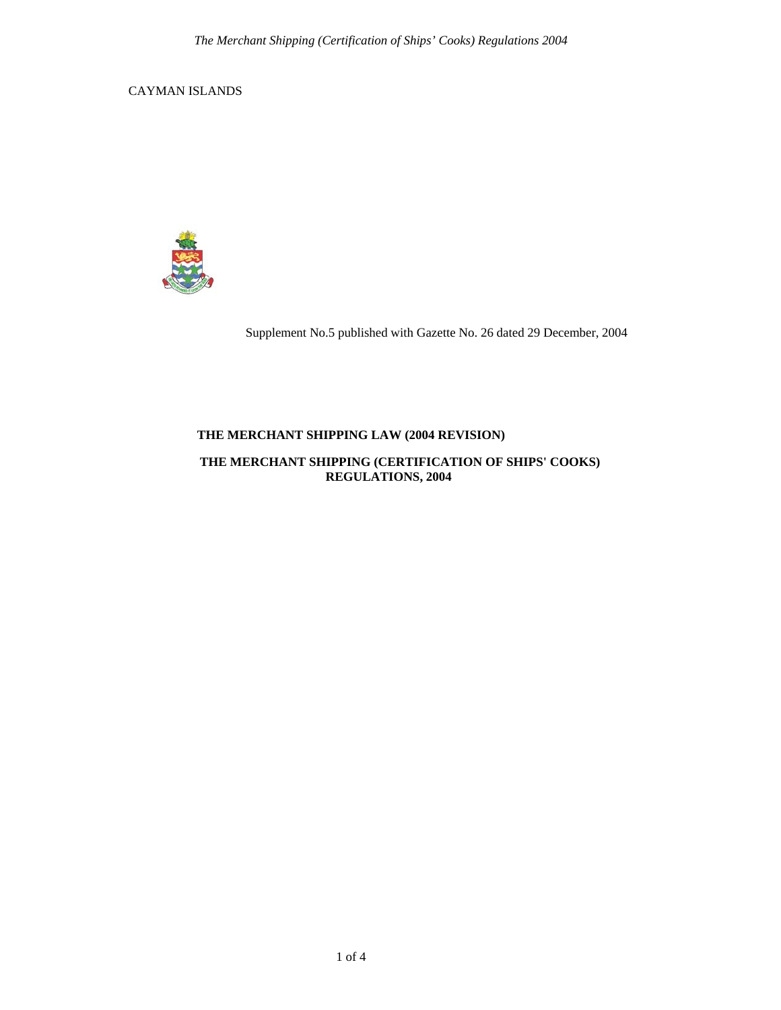CAYMAN ISLANDS



Supplement No.5 published with Gazette No. 26 dated 29 December, 2004

# **THE MERCHANT SHIPPING LAW (2004 REVISION)**

### **THE MERCHANT SHIPPING (CERTIFICATION OF SHIPS' COOKS) REGULATIONS, 2004**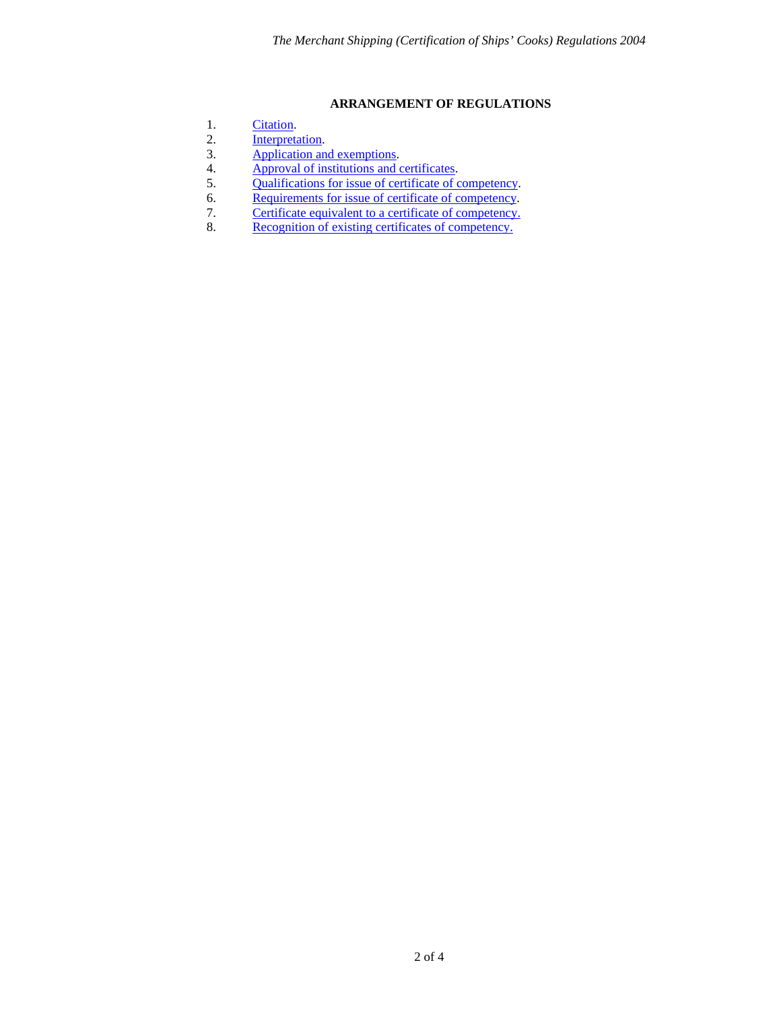### **ARRANGEMENT OF REGULATIONS**

- <span id="page-1-0"></span>1. [Citation](#page-2-0).
- 2. [Interpretation](#page-2-0).<br>3. Application and
- 3. [Application and exemptions.](#page-2-0)<br>4. Approval of institutions and of
- 4. [Approval of institutions and certificates.](#page-2-0)<br>5. Qualifications for issue of certificate of c
- 5. [Qualifications for issue of certificate of competency](#page-2-0).<br>6. Requirements for issue of certificate of competency.
- [Requirements for issue of certificate of competency](#page-2-0).
- 7. [Certificate equivalent to a certificate of competency.](#page-3-0)<br>8. Recognition of existing certificates of competency.
- [Recognition of existing certificates of competency.](#page-3-0)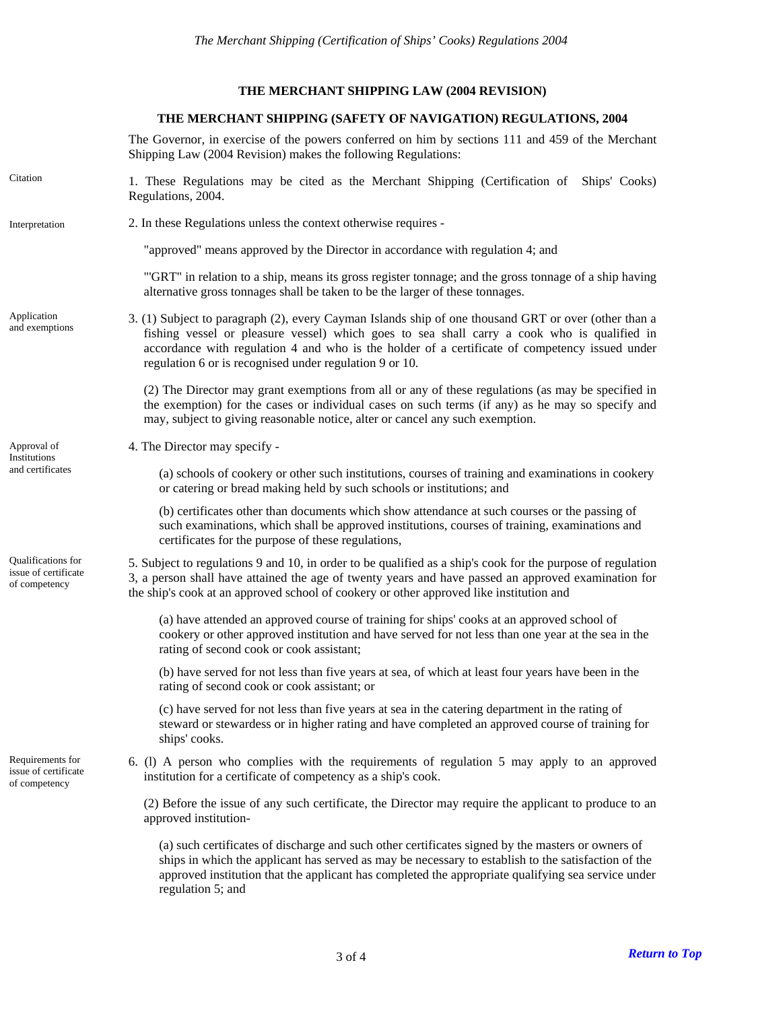# **THE MERCHANT SHIPPING LAW (2004 REVISION)**

#### **THE MERCHANT SHIPPING (SAFETY OF NAVIGATION) REGULATIONS, 2004**

The Governor, in exercise of the powers conferred on him by sections 111 and 459 of the Merchant Shipping Law (2004 Revision) makes the following Regulations:

<span id="page-2-0"></span>

| Citation                                                    | 1. These Regulations may be cited as the Merchant Shipping (Certification of Ships' Cooks)<br>Regulations, 2004.                                                                                                                                                                                                                                                 |
|-------------------------------------------------------------|------------------------------------------------------------------------------------------------------------------------------------------------------------------------------------------------------------------------------------------------------------------------------------------------------------------------------------------------------------------|
| Interpretation                                              | 2. In these Regulations unless the context otherwise requires -                                                                                                                                                                                                                                                                                                  |
|                                                             | "approved" means approved by the Director in accordance with regulation 4; and                                                                                                                                                                                                                                                                                   |
|                                                             | "GRT" in relation to a ship, means its gross register tonnage; and the gross tonnage of a ship having<br>alternative gross tonnages shall be taken to be the larger of these tonnages.                                                                                                                                                                           |
| Application<br>and exemptions                               | 3. (1) Subject to paragraph (2), every Cayman Islands ship of one thousand GRT or over (other than a<br>fishing vessel or pleasure vessel) which goes to sea shall carry a cook who is qualified in<br>accordance with regulation 4 and who is the holder of a certificate of competency issued under<br>regulation 6 or is recognised under regulation 9 or 10. |
|                                                             | (2) The Director may grant exemptions from all or any of these regulations (as may be specified in<br>the exemption) for the cases or individual cases on such terms (if any) as he may so specify and<br>may, subject to giving reasonable notice, alter or cancel any such exemption.                                                                          |
| Approval of<br>Institutions<br>and certificates             | 4. The Director may specify -                                                                                                                                                                                                                                                                                                                                    |
|                                                             | (a) schools of cookery or other such institutions, courses of training and examinations in cookery<br>or catering or bread making held by such schools or institutions; and                                                                                                                                                                                      |
|                                                             | (b) certificates other than documents which show attendance at such courses or the passing of<br>such examinations, which shall be approved institutions, courses of training, examinations and<br>certificates for the purpose of these regulations,                                                                                                            |
| Qualifications for<br>issue of certificate<br>of competency | 5. Subject to regulations 9 and 10, in order to be qualified as a ship's cook for the purpose of regulation<br>3, a person shall have attained the age of twenty years and have passed an approved examination for<br>the ship's cook at an approved school of cookery or other approved like institution and                                                    |
|                                                             | (a) have attended an approved course of training for ships' cooks at an approved school of<br>cookery or other approved institution and have served for not less than one year at the sea in the<br>rating of second cook or cook assistant;                                                                                                                     |
|                                                             | (b) have served for not less than five years at sea, of which at least four years have been in the<br>rating of second cook or cook assistant; or                                                                                                                                                                                                                |
|                                                             | (c) have served for not less than five years at sea in the catering department in the rating of<br>steward or stewardess or in higher rating and have completed an approved course of training for<br>ships' cooks.                                                                                                                                              |
| Requirements for<br>issue of certificate<br>of competency   | 6. (1) A person who complies with the requirements of regulation 5 may apply to an approved<br>institution for a certificate of competency as a ship's cook.                                                                                                                                                                                                     |
|                                                             | (2) Before the issue of any such certificate, the Director may require the applicant to produce to an<br>approved institution-                                                                                                                                                                                                                                   |
|                                                             | (a) such certificates of discharge and such other certificates signed by the masters or owners of<br>ships in which the applicant has served as may be necessary to establish to the satisfaction of the<br>approved institution that the applicant has completed the appropriate qualifying sea service under<br>regulation 5; and                              |